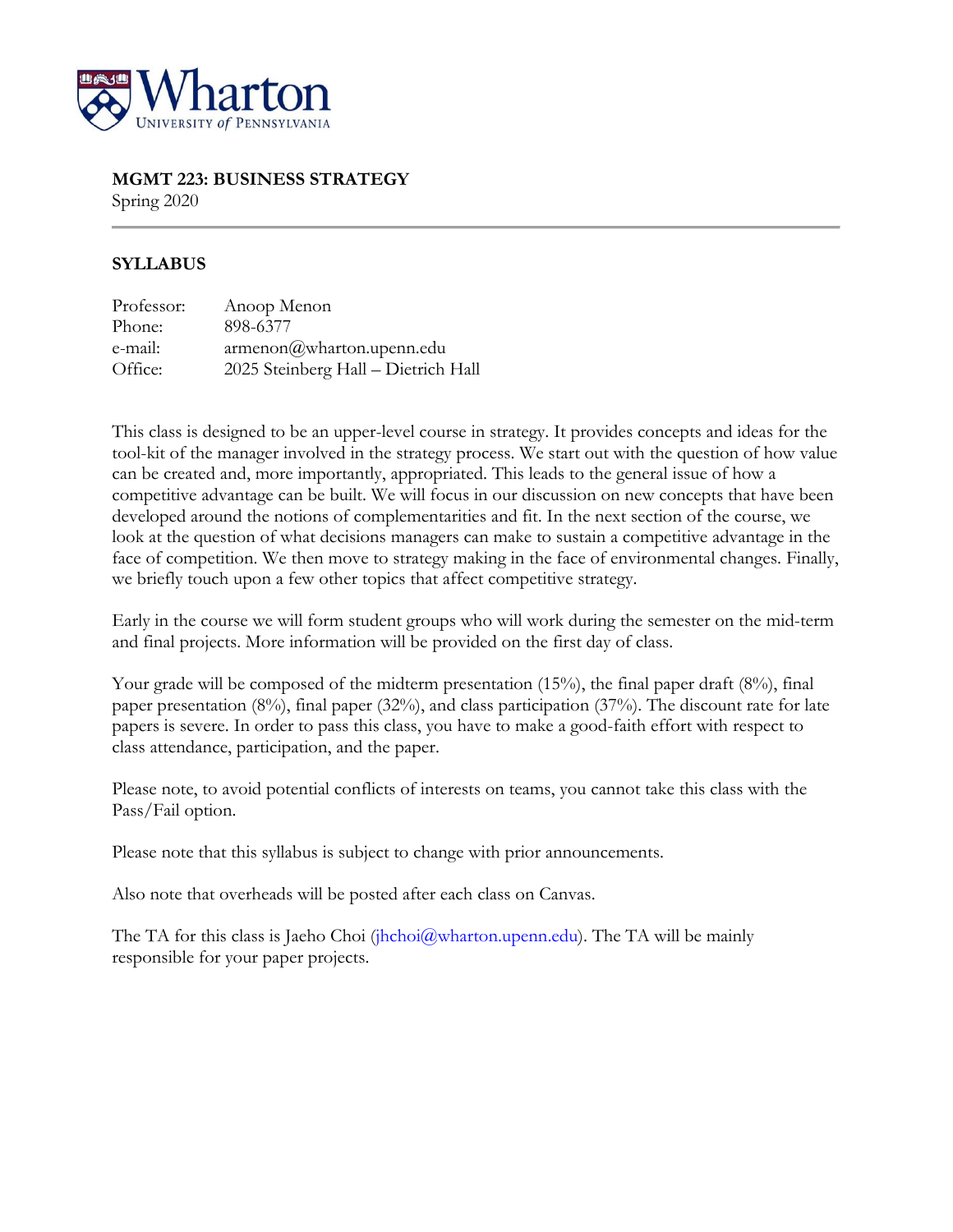

## **MGMT 223: BUSINESS STRATEGY**

Spring 2020

## **SYLLABUS**

| Professor: | Anoop Menon                         |
|------------|-------------------------------------|
| Phone:     | 898-6377                            |
| e-mail:    | armenon@wharton.upenn.edu           |
| Office:    | 2025 Steinberg Hall - Dietrich Hall |

This class is designed to be an upper-level course in strategy. It provides concepts and ideas for the tool-kit of the manager involved in the strategy process. We start out with the question of how value can be created and, more importantly, appropriated. This leads to the general issue of how a competitive advantage can be built. We will focus in our discussion on new concepts that have been developed around the notions of complementarities and fit. In the next section of the course, we look at the question of what decisions managers can make to sustain a competitive advantage in the face of competition. We then move to strategy making in the face of environmental changes. Finally, we briefly touch upon a few other topics that affect competitive strategy.

Early in the course we will form student groups who will work during the semester on the mid-term and final projects. More information will be provided on the first day of class.

Your grade will be composed of the midterm presentation (15%), the final paper draft (8%), final paper presentation (8%), final paper (32%), and class participation (37%). The discount rate for late papers is severe. In order to pass this class, you have to make a good-faith effort with respect to class attendance, participation, and the paper.

Please note, to avoid potential conflicts of interests on teams, you cannot take this class with the Pass/Fail option.

Please note that this syllabus is subject to change with prior announcements.

Also note that overheads will be posted after each class on Canvas.

The TA for this class is Jaeho Choi (jhchoi $@$ wharton.upenn.edu). The TA will be mainly responsible for your paper projects.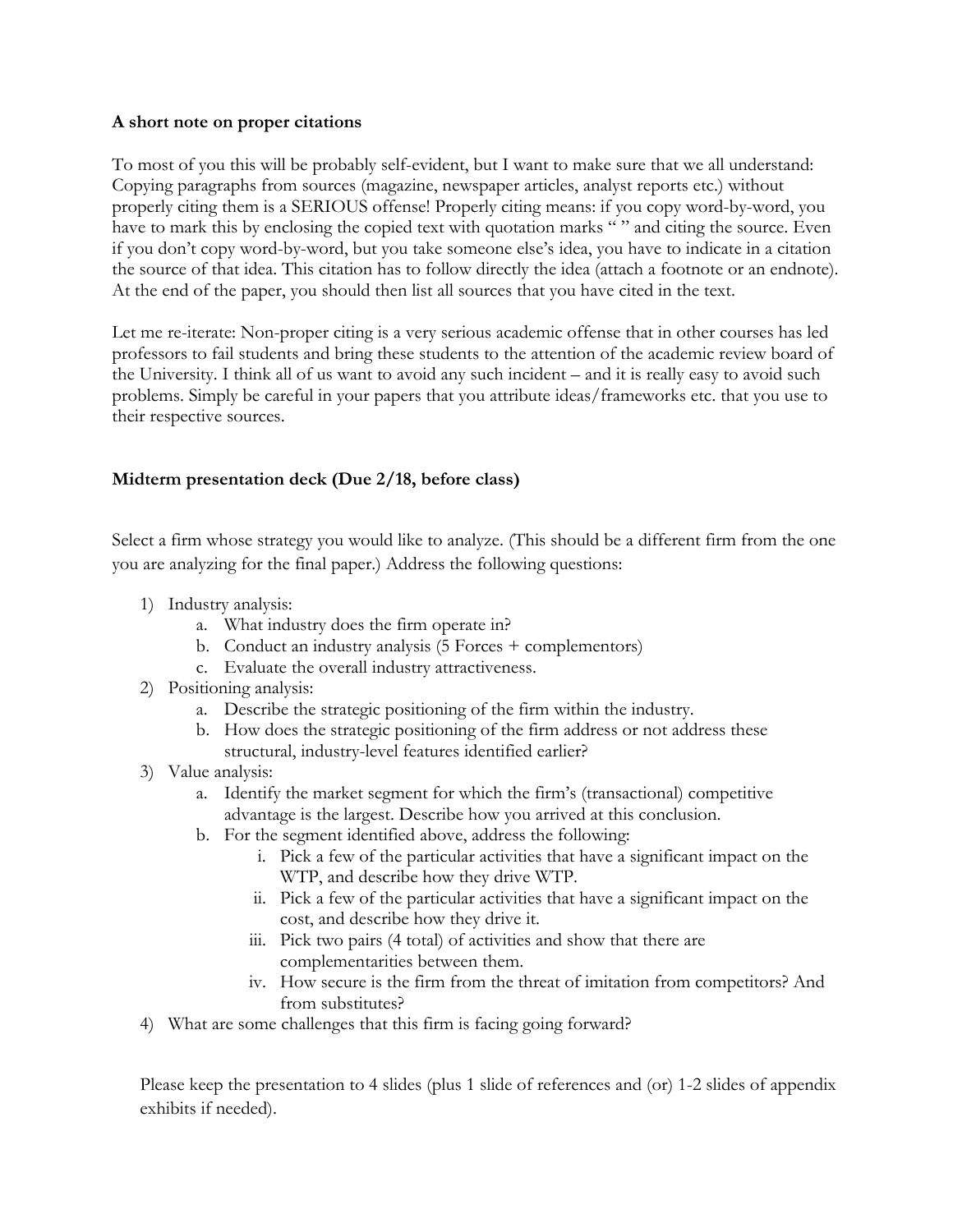#### **A short note on proper citations**

To most of you this will be probably self-evident, but I want to make sure that we all understand: Copying paragraphs from sources (magazine, newspaper articles, analyst reports etc.) without properly citing them is a SERIOUS offense! Properly citing means: if you copy word-by-word, you have to mark this by enclosing the copied text with quotation marks "" and citing the source. Even if you don't copy word-by-word, but you take someone else's idea, you have to indicate in a citation the source of that idea. This citation has to follow directly the idea (attach a footnote or an endnote). At the end of the paper, you should then list all sources that you have cited in the text.

Let me re-iterate: Non-proper citing is a very serious academic offense that in other courses has led professors to fail students and bring these students to the attention of the academic review board of the University. I think all of us want to avoid any such incident – and it is really easy to avoid such problems. Simply be careful in your papers that you attribute ideas/frameworks etc. that you use to their respective sources.

# **Midterm presentation deck (Due 2/18, before class)**

Select a firm whose strategy you would like to analyze. (This should be a different firm from the one you are analyzing for the final paper.) Address the following questions:

- 1) Industry analysis:
	- a. What industry does the firm operate in?
	- b. Conduct an industry analysis (5 Forces + complementors)
	- c. Evaluate the overall industry attractiveness.
- 2) Positioning analysis:
	- a. Describe the strategic positioning of the firm within the industry.
	- b. How does the strategic positioning of the firm address or not address these structural, industry-level features identified earlier?
- 3) Value analysis:
	- a. Identify the market segment for which the firm's (transactional) competitive advantage is the largest. Describe how you arrived at this conclusion.
	- b. For the segment identified above, address the following:
		- i. Pick a few of the particular activities that have a significant impact on the WTP, and describe how they drive WTP.
		- ii. Pick a few of the particular activities that have a significant impact on the cost, and describe how they drive it.
		- iii. Pick two pairs (4 total) of activities and show that there are complementarities between them.
		- iv. How secure is the firm from the threat of imitation from competitors? And from substitutes?
- 4) What are some challenges that this firm is facing going forward?

Please keep the presentation to 4 slides (plus 1 slide of references and (or) 1-2 slides of appendix exhibits if needed).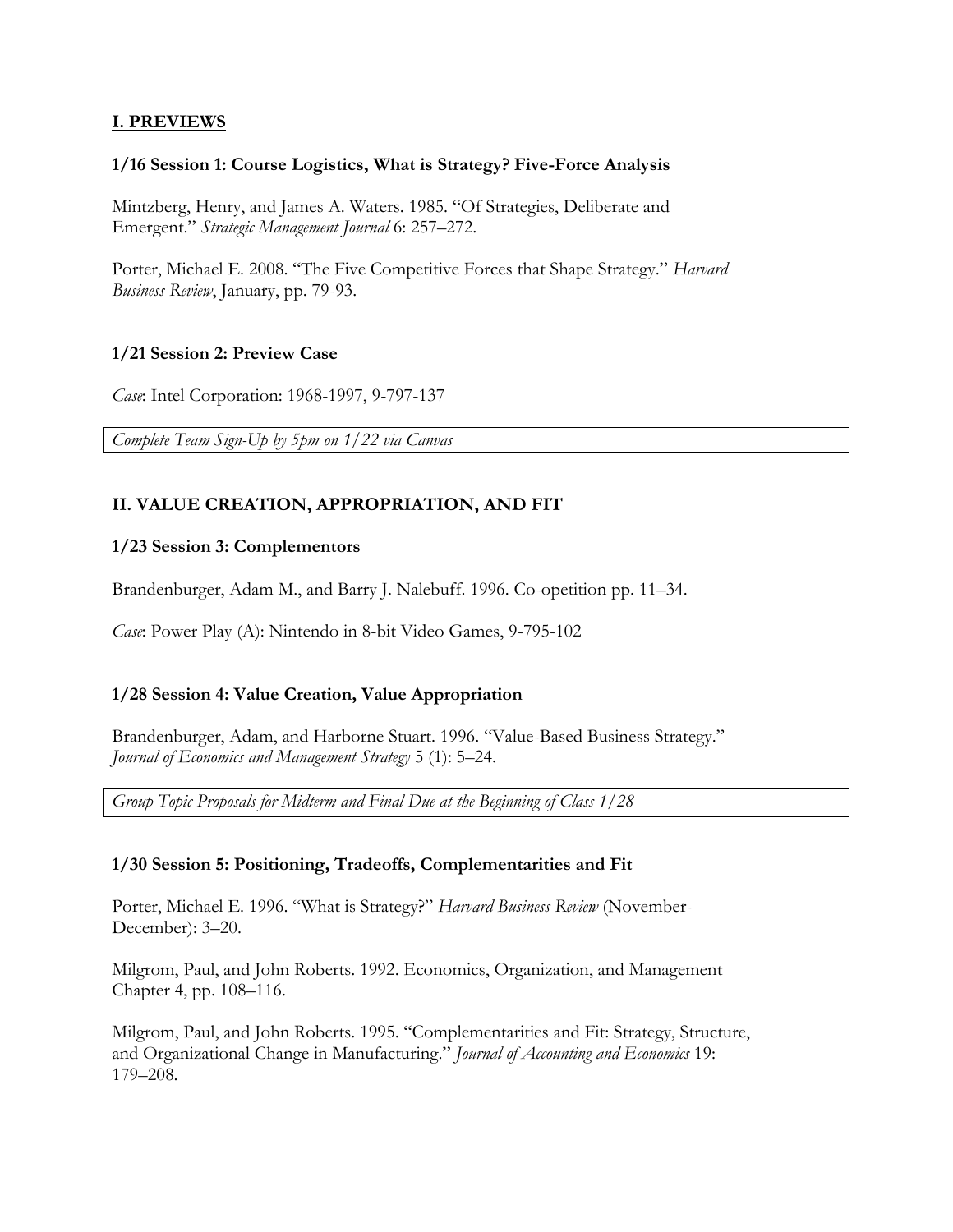## **I. PREVIEWS**

#### **1/16 Session 1: Course Logistics, What is Strategy? Five-Force Analysis**

Mintzberg, Henry, and James A. Waters. 1985. "Of Strategies, Deliberate and Emergent." *Strategic Management Journal* 6: 257–272.

Porter, Michael E. 2008. "The Five Competitive Forces that Shape Strategy." *Harvard Business Review*, January, pp. 79-93.

#### **1/21 Session 2: Preview Case**

*Case*: Intel Corporation: 1968-1997, 9-797-137

*Complete Team Sign-Up by 5pm on 1/22 via Canvas*

# **II. VALUE CREATION, APPROPRIATION, AND FIT**

### **1/23 Session 3: Complementors**

Brandenburger, Adam M., and Barry J. Nalebuff. 1996. Co-opetition pp. 11–34.

*Case*: Power Play (A): Nintendo in 8-bit Video Games, 9-795-102

### **1/28 Session 4: Value Creation, Value Appropriation**

Brandenburger, Adam, and Harborne Stuart. 1996. "Value-Based Business Strategy." *Journal of Economics and Management Strategy* 5 (1): 5–24.

*Group Topic Proposals for Midterm and Final Due at the Beginning of Class 1/28*

### **1/30 Session 5: Positioning, Tradeoffs, Complementarities and Fit**

Porter, Michael E. 1996. "What is Strategy?" *Harvard Business Review* (November-December): 3–20.

Milgrom, Paul, and John Roberts. 1992. Economics, Organization, and Management Chapter 4, pp. 108–116.

Milgrom, Paul, and John Roberts. 1995. "Complementarities and Fit: Strategy, Structure, and Organizational Change in Manufacturing." *Journal of Accounting and Economics* 19: 179–208.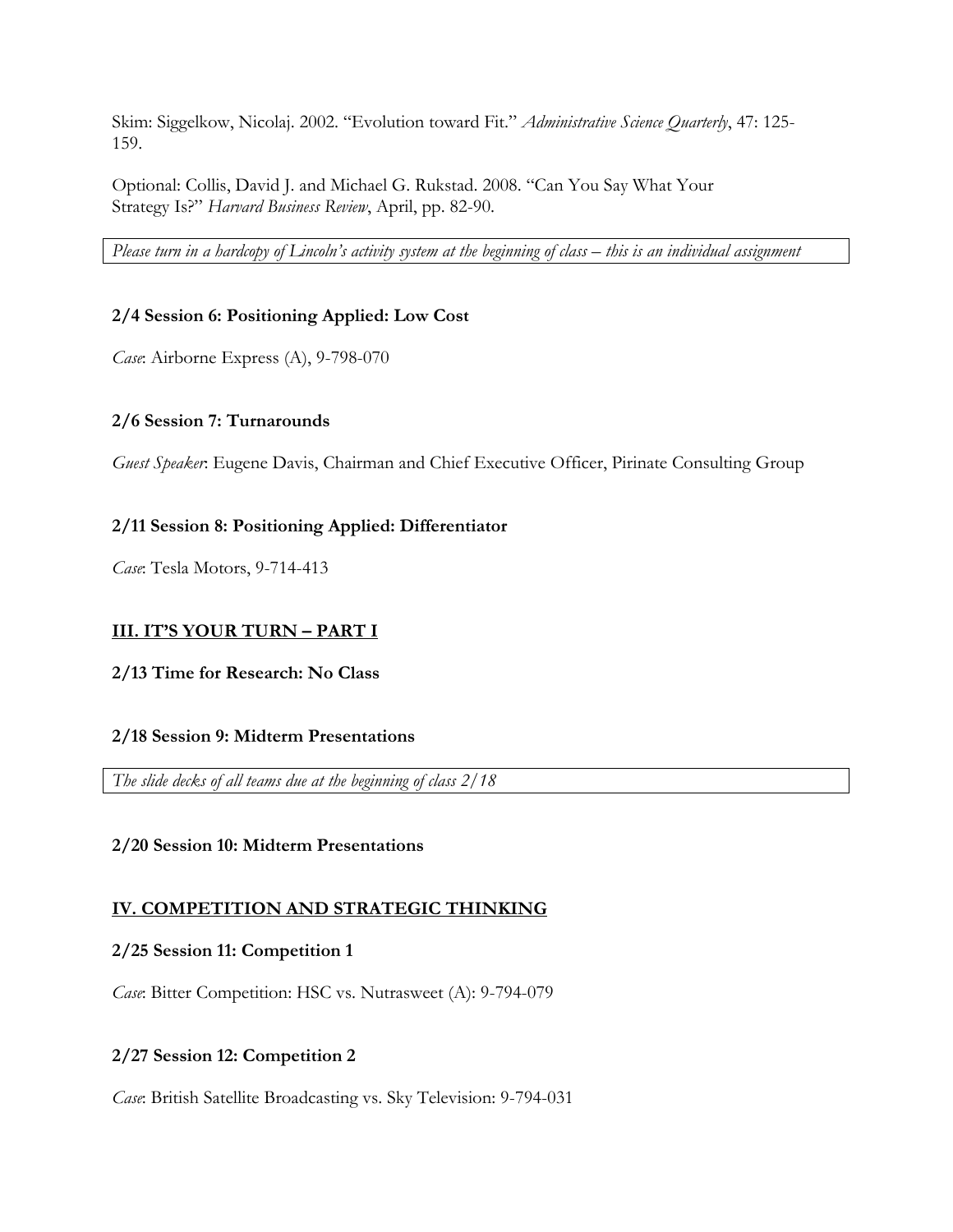Skim: Siggelkow, Nicolaj. 2002. "Evolution toward Fit." *Administrative Science Quarterly*, 47: 125- 159.

Optional: Collis, David J. and Michael G. Rukstad. 2008. "Can You Say What Your Strategy Is?" *Harvard Business Review*, April, pp. 82-90.

*Please turn in a hardcopy of Lincoln's activity system at the beginning of class – this is an individual assignment*

## **2/4 Session 6: Positioning Applied: Low Cost**

*Case*: Airborne Express (A), 9-798-070

## **2/6 Session 7: Turnarounds**

*Guest Speaker*: Eugene Davis, Chairman and Chief Executive Officer, Pirinate Consulting Group

## **2/11 Session 8: Positioning Applied: Differentiator**

*Case*: Tesla Motors, 9-714-413

# **III. IT'S YOUR TURN – PART I**

### **2/13 Time for Research: No Class**

### **2/18 Session 9: Midterm Presentations**

*The slide decks of all teams due at the beginning of class 2/18*

### **2/20 Session 10: Midterm Presentations**

# **IV. COMPETITION AND STRATEGIC THINKING**

# **2/25 Session 11: Competition 1**

*Case*: Bitter Competition: HSC vs. Nutrasweet (A): 9-794-079

# **2/27 Session 12: Competition 2**

*Case*: British Satellite Broadcasting vs. Sky Television: 9-794-031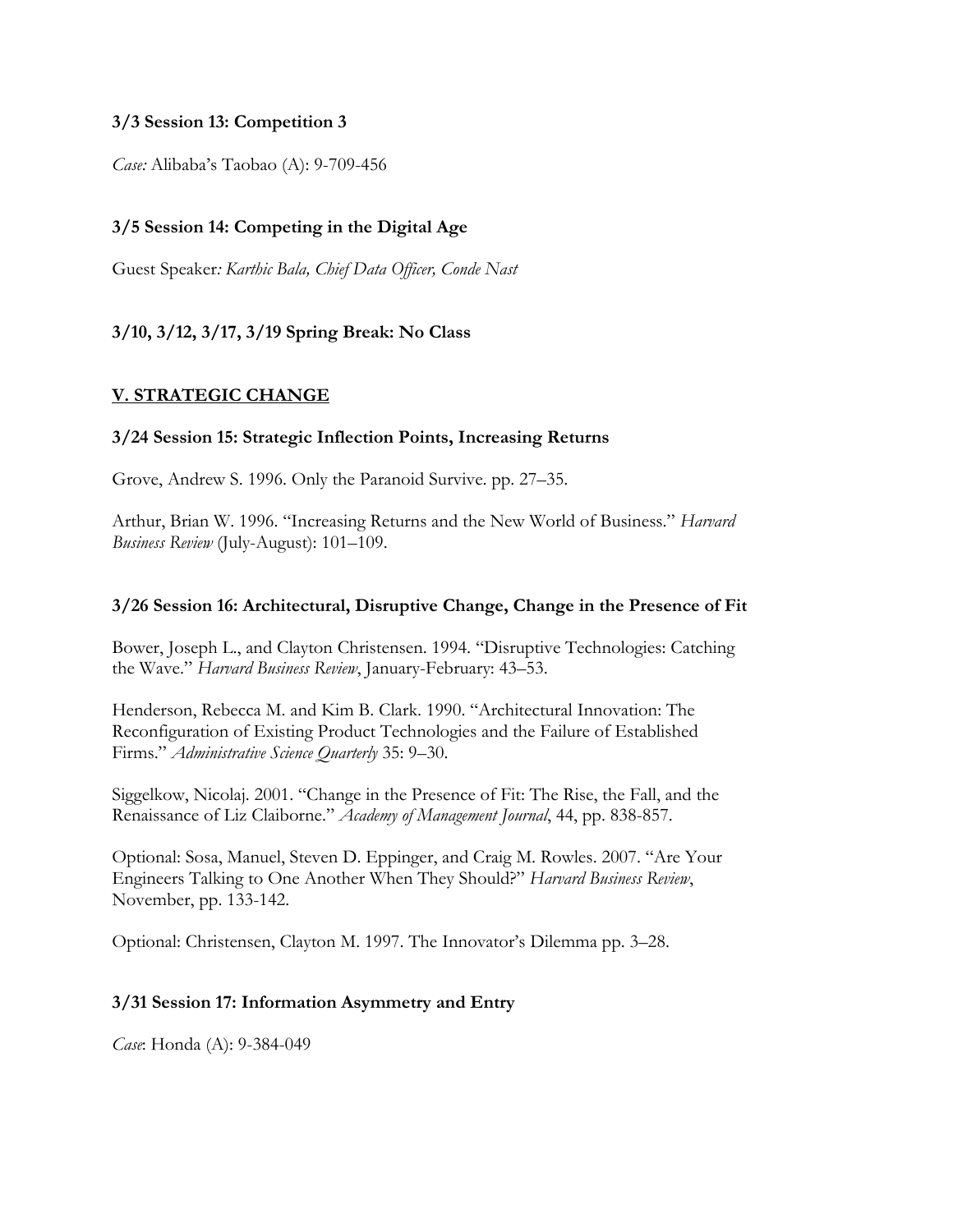### **3/3 Session 13: Competition 3**

*Case:* Alibaba's Taobao (A): 9-709-456

# **3/5 Session 14: Competing in the Digital Age**

Guest Speaker*: Karthic Bala, Chief Data Officer, Conde Nast*

# **3/10, 3/12, 3/17, 3/19 Spring Break: No Class**

## **V. STRATEGIC CHANGE**

### **3/24 Session 15: Strategic Inflection Points, Increasing Returns**

Grove, Andrew S. 1996. Only the Paranoid Survive. pp. 27–35.

Arthur, Brian W. 1996. "Increasing Returns and the New World of Business." *Harvard Business Review* (July-August): 101–109.

### **3/26 Session 16: Architectural, Disruptive Change, Change in the Presence of Fit**

Bower, Joseph L., and Clayton Christensen. 1994. "Disruptive Technologies: Catching the Wave." *Harvard Business Review*, January-February: 43–53.

Henderson, Rebecca M. and Kim B. Clark. 1990. "Architectural Innovation: The Reconfiguration of Existing Product Technologies and the Failure of Established Firms." *Administrative Science Quarterly* 35: 9–30.

Siggelkow, Nicolaj. 2001. "Change in the Presence of Fit: The Rise, the Fall, and the Renaissance of Liz Claiborne." *Academy of Management Journal*, 44, pp. 838-857.

Optional: Sosa, Manuel, Steven D. Eppinger, and Craig M. Rowles. 2007. "Are Your Engineers Talking to One Another When They Should?" *Harvard Business Review*, November, pp. 133-142.

Optional: Christensen, Clayton M. 1997. The Innovator's Dilemma pp. 3–28.

### **3/31 Session 17: Information Asymmetry and Entry**

*Case*: Honda (A): 9-384-049